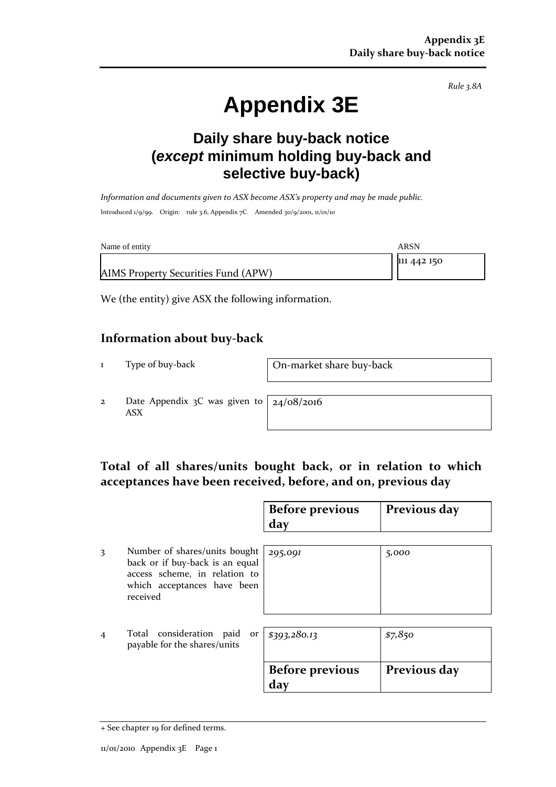*Rule 3.8A*

# **Appendix 3E**

## **Daily share buy-back notice (***except* **minimum holding buy-back and selective buy-back)**

*Information and documents given to ASX become ASX's property and may be made public.* Introduced 1/9/99. Origin: rule 3.6, Appendix 7C. Amended 30/9/2001, 11/01/10

| Name of entity                      | ARSN        |
|-------------------------------------|-------------|
| AIMS Property Securities Fund (APW) | 111 442 150 |
|                                     |             |

We (the entity) give ASX the following information.

#### **Information about buy-back**

1 Type of buy-back On-market share buy-back

2 Date Appendix 3C was given to ASX

24/08/2016

#### **Total of all shares/units bought back, or in relation to which acceptances have been received, before, and on, previous day**

|   |                                                                                                                                              | <b>Before previous</b><br>day | Previous day |
|---|----------------------------------------------------------------------------------------------------------------------------------------------|-------------------------------|--------------|
| 3 | Number of shares/units bought<br>back or if buy-back is an equal<br>access scheme, in relation to<br>which acceptances have been<br>received | 295,091                       | 5,000        |
| 4 | Total consideration paid or<br>payable for the shares/units                                                                                  | \$393,280.13                  | \$7,850      |
|   |                                                                                                                                              | <b>Before previous</b><br>day | Previous day |

<sup>+</sup> See chapter 19 for defined terms.